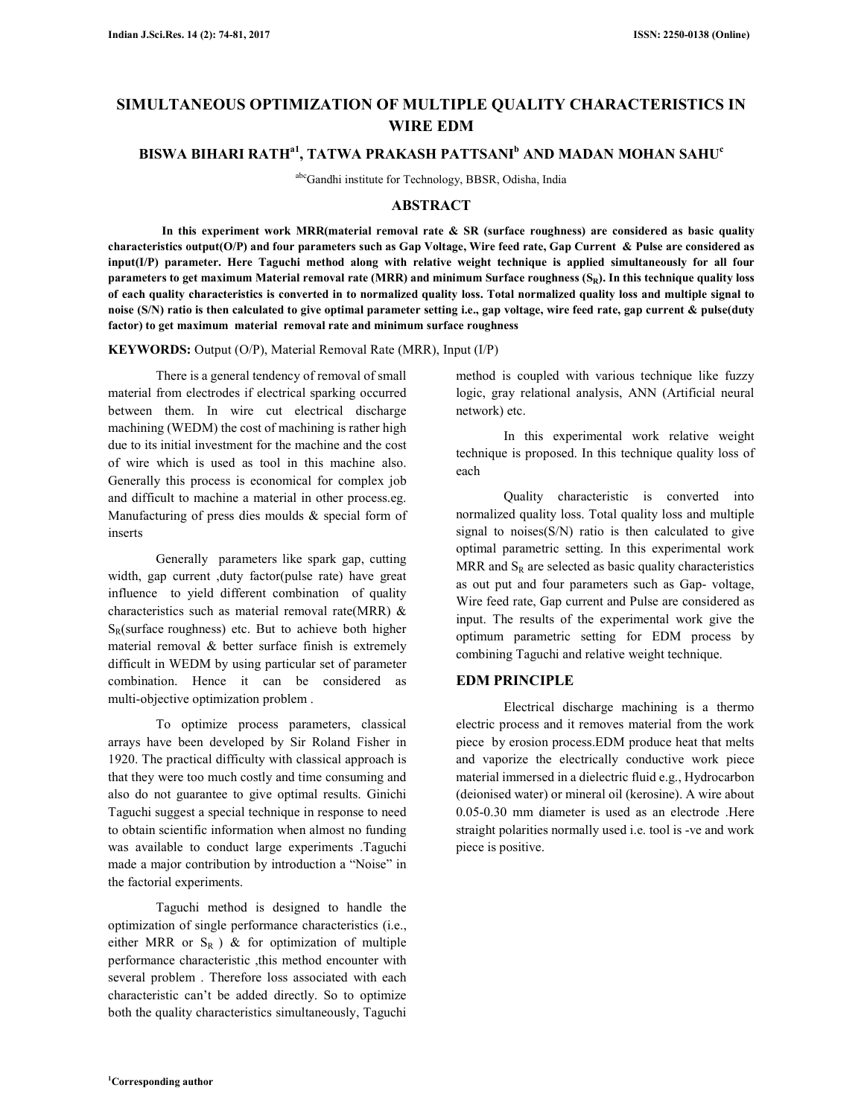# **SIMULTANEOUS OPTIMIZATION OF MULTIPLE QUALITY CHARACTERISTICS IN WIRE EDM**

# **BISWA BIHARI RATHa1, TATWA PRAKASH PATTSANI<sup>b</sup> AND MADAN MOHAN SAHU<sup>c</sup>**

abcGandhi institute for Technology, BBSR, Odisha, India

# **ABSTRACT**

 **In this experiment work MRR(material removal rate & SR (surface roughness) are considered as basic quality characteristics output(O/P) and four parameters such as Gap Voltage, Wire feed rate, Gap Current & Pulse are considered as input(I/P) parameter. Here Taguchi method along with relative weight technique is applied simultaneously for all four parameters to get maximum Material removal rate (MRR) and minimum Surface roughness (SR). In this technique quality loss of each quality characteristics is converted in to normalized quality loss. Total normalized quality loss and multiple signal to noise (S/N) ratio is then calculated to give optimal parameter setting i.e., gap voltage, wire feed rate, gap current & pulse(duty factor) to get maximum material removal rate and minimum surface roughness** 

**KEYWORDS:** Output (O/P), Material Removal Rate (MRR), Input (I/P)

There is a general tendency of removal of small material from electrodes if electrical sparking occurred between them. In wire cut electrical discharge machining (WEDM) the cost of machining is rather high due to its initial investment for the machine and the cost of wire which is used as tool in this machine also. Generally this process is economical for complex job and difficult to machine a material in other process.eg. Manufacturing of press dies moulds & special form of inserts

Generally parameters like spark gap, cutting width, gap current ,duty factor(pulse rate) have great influence to yield different combination of quality characteristics such as material removal rate(MRR) &  $S_R$ (surface roughness) etc. But to achieve both higher material removal & better surface finish is extremely difficult in WEDM by using particular set of parameter combination. Hence it can be considered as multi-objective optimization problem .

To optimize process parameters, classical arrays have been developed by Sir Roland Fisher in 1920. The practical difficulty with classical approach is that they were too much costly and time consuming and also do not guarantee to give optimal results. Ginichi Taguchi suggest a special technique in response to need to obtain scientific information when almost no funding was available to conduct large experiments .Taguchi made a major contribution by introduction a "Noise" in the factorial experiments.

Taguchi method is designed to handle the optimization of single performance characteristics (i.e., either MRR or  $S_R$  ) & for optimization of multiple performance characteristic ,this method encounter with several problem . Therefore loss associated with each characteristic can't be added directly. So to optimize both the quality characteristics simultaneously, Taguchi

method is coupled with various technique like fuzzy logic, gray relational analysis, ANN (Artificial neural network) etc.

In this experimental work relative weight technique is proposed. In this technique quality loss of each

Quality characteristic is converted into normalized quality loss. Total quality loss and multiple signal to noises $(S/N)$  ratio is then calculated to give optimal parametric setting. In this experimental work MRR and  $S_R$  are selected as basic quality characteristics as out put and four parameters such as Gap- voltage, Wire feed rate, Gap current and Pulse are considered as input. The results of the experimental work give the optimum parametric setting for EDM process by combining Taguchi and relative weight technique.

#### **EDM PRINCIPLE**

Electrical discharge machining is a thermo electric process and it removes material from the work piece by erosion process.EDM produce heat that melts and vaporize the electrically conductive work piece material immersed in a dielectric fluid e.g., Hydrocarbon (deionised water) or mineral oil (kerosine). A wire about 0.05-0.30 mm diameter is used as an electrode .Here straight polarities normally used i.e. tool is -ve and work piece is positive.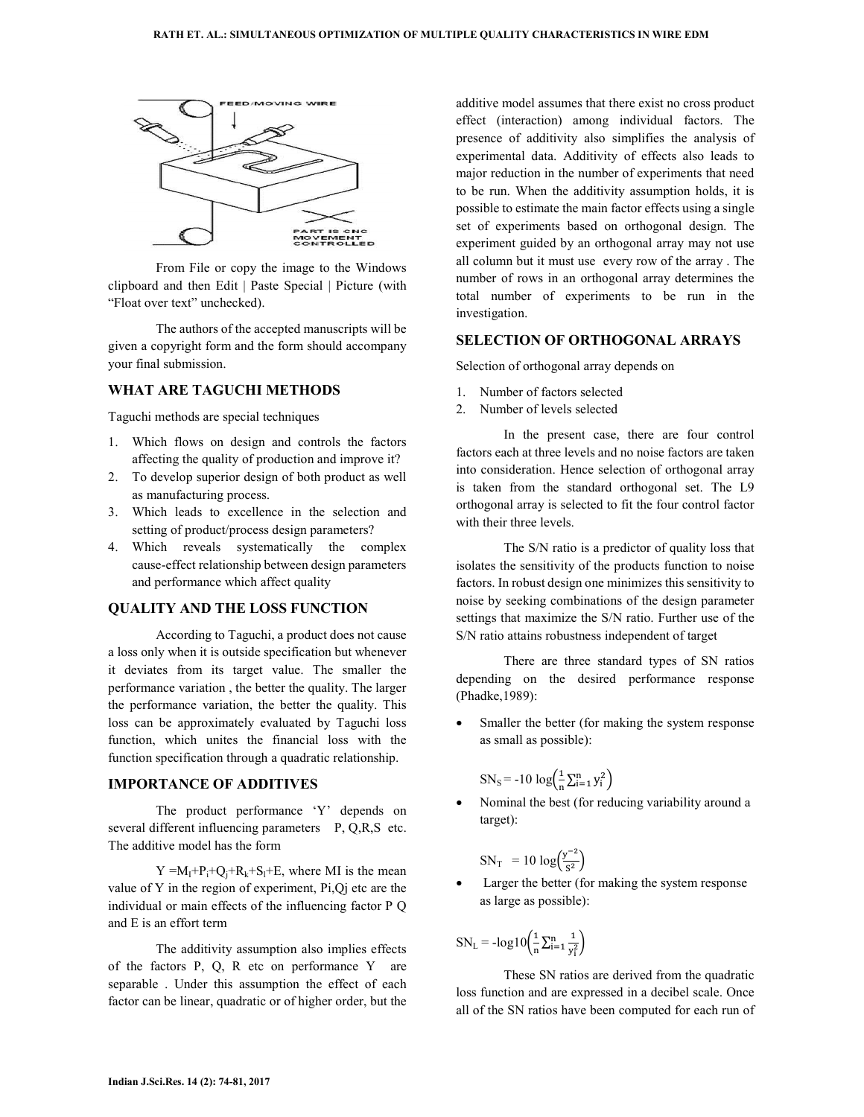

From File or copy the image to the Windows clipboard and then Edit | Paste Special | Picture (with "Float over text" unchecked).

The authors of the accepted manuscripts will be given a copyright form and the form should accompany your final submission.

# **WHAT ARE TAGUCHI METHODS**

Taguchi methods are special techniques

- 1. Which flows on design and controls the factors affecting the quality of production and improve it?
- 2. To develop superior design of both product as well as manufacturing process.
- 3. Which leads to excellence in the selection and setting of product/process design parameters?
- 4. Which reveals systematically the complex cause-effect relationship between design parameters and performance which affect quality

### **QUALITY AND THE LOSS FUNCTION**

According to Taguchi, a product does not cause a loss only when it is outside specification but whenever it deviates from its target value. The smaller the performance variation , the better the quality. The larger the performance variation, the better the quality. This loss can be approximately evaluated by Taguchi loss function, which unites the financial loss with the function specification through a quadratic relationship.

# **IMPORTANCE OF ADDITIVES**

The product performance 'Y' depends on several different influencing parameters P, Q,R,S etc. The additive model has the form

 $Y = M_1 + P_1 + Q_1 + R_2 + S_1 + E$ , where MI is the mean value of Y in the region of experiment, Pi,Qj etc are the individual or main effects of the influencing factor P Q and E is an effort term

The additivity assumption also implies effects of the factors P, Q, R etc on performance Y are separable . Under this assumption the effect of each factor can be linear, quadratic or of higher order, but the

additive model assumes that there exist no cross product effect (interaction) among individual factors. The presence of additivity also simplifies the analysis of experimental data. Additivity of effects also leads to major reduction in the number of experiments that need to be run. When the additivity assumption holds, it is possible to estimate the main factor effects using a single set of experiments based on orthogonal design. The experiment guided by an orthogonal array may not use all column but it must use every row of the array . The number of rows in an orthogonal array determines the total number of experiments to be run in the investigation.

## **SELECTION OF ORTHOGONAL ARRAYS**

Selection of orthogonal array depends on

- 1. Number of factors selected
- 2. Number of levels selected

In the present case, there are four control factors each at three levels and no noise factors are taken into consideration. Hence selection of orthogonal array is taken from the standard orthogonal set. The L9 orthogonal array is selected to fit the four control factor with their three levels.

The S/N ratio is a predictor of quality loss that isolates the sensitivity of the products function to noise factors. In robust design one minimizes this sensitivity to noise by seeking combinations of the design parameter settings that maximize the S/N ratio. Further use of the S/N ratio attains robustness independent of target

There are three standard types of SN ratios depending on the desired performance response (Phadke,1989):

Smaller the better (for making the system response as small as possible):

$$
SN_{S} = -10 \log \left( \frac{1}{n} \sum_{i=1}^{n} y_{i}^{2} \right)
$$

• Nominal the best (for reducing variability around a target):

$$
SN_{T} = 10 \log \left( \frac{y^{-2}}{s^2} \right)
$$

Larger the better (for making the system response as large as possible):

$$
SN_{L} = -\log 10 \left( \frac{1}{n} \sum_{i=1}^{n} \frac{1}{y_i^2} \right)
$$

These SN ratios are derived from the quadratic loss function and are expressed in a decibel scale. Once all of the SN ratios have been computed for each run of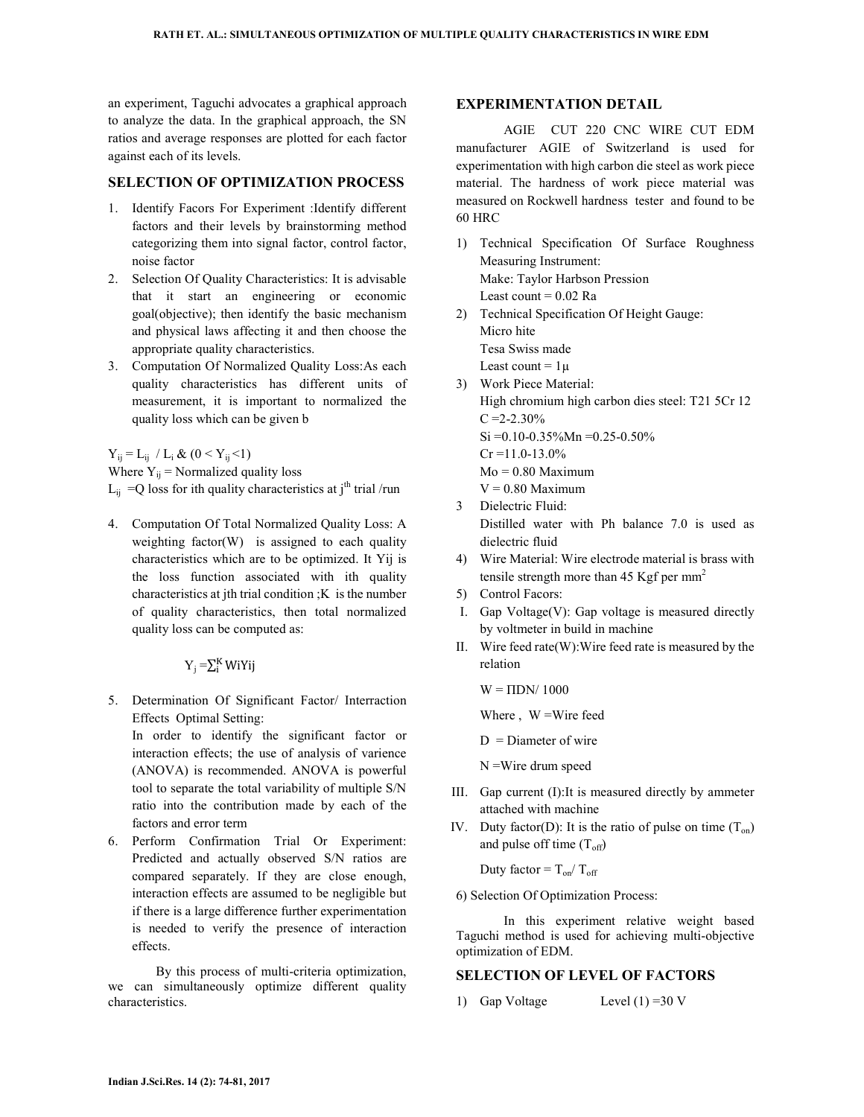an experiment, Taguchi advocates a graphical approach to analyze the data. In the graphical approach, the SN ratios and average responses are plotted for each factor against each of its levels.

## **SELECTION OF OPTIMIZATION PROCESS**

- 1. Identify Facors For Experiment :Identify different factors and their levels by brainstorming method categorizing them into signal factor, control factor, noise factor
- 2. Selection Of Quality Characteristics: It is advisable that it start an engineering or economic goal(objective); then identify the basic mechanism and physical laws affecting it and then choose the appropriate quality characteristics.
- 3. Computation Of Normalized Quality Loss:As each quality characteristics has different units of measurement, it is important to normalized the quality loss which can be given b

 $Y_{ij} = L_{ij} / L_i \& (0 < Y_{ij} < 1)$ 

Where  $Y_{ij}$  = Normalized quality loss

```
L_{ij} = Q loss for ith quality characteristics at j<sup>th</sup> trial /run
```
4. Computation Of Total Normalized Quality Loss: A weighting factor(W) is assigned to each quality characteristics which are to be optimized. It Yij is the loss function associated with ith quality characteristics at jth trial condition ;K is the number of quality characteristics, then total normalized quality loss can be computed as:

 $Y_j = \sum_{i}^{K} W_i Y_i$ 

5. Determination Of Significant Factor/ Interraction Effects Optimal Setting:

In order to identify the significant factor or interaction effects; the use of analysis of varience (ANOVA) is recommended. ANOVA is powerful tool to separate the total variability of multiple S/N ratio into the contribution made by each of the factors and error term

6. Perform Confirmation Trial Or Experiment: Predicted and actually observed S/N ratios are compared separately. If they are close enough, interaction effects are assumed to be negligible but if there is a large difference further experimentation is needed to verify the presence of interaction effects.

By this process of multi-criteria optimization, we can simultaneously optimize different quality characteristics.

### **EXPERIMENTATION DETAIL**

AGIE CUT 220 CNC WIRE CUT EDM manufacturer AGIE of Switzerland is used for experimentation with high carbon die steel as work piece material. The hardness of work piece material was measured on Rockwell hardness tester and found to be 60 HRC

- 1) Technical Specification Of Surface Roughness Measuring Instrument: Make: Taylor Harbson Pression Least count  $= 0.02$  Ra
- 2) Technical Specification Of Height Gauge: Micro hite Tesa Swiss made Least count =  $1\mu$
- 3) Work Piece Material: High chromium high carbon dies steel: T21 5Cr 12  $C = 2 - 2.30\%$ Si =0.10-0.35%Mn =0.25-0.50%  $Cr = 11.0 - 13.0%$  $Mo = 0.80$  Maximum  $V = 0.80$  Maximum
- 3 Dielectric Fluid: Distilled water with Ph balance 7.0 is used as dielectric fluid
- 4) Wire Material: Wire electrode material is brass with tensile strength more than 45 Kgf per  $mm<sup>2</sup>$
- 5) Control Facors:
- I. Gap Voltage(V): Gap voltage is measured directly by voltmeter in build in machine
- II. Wire feed rate(W):Wire feed rate is measured by the relation

 $W = \Pi DN/ 1000$ 

Where, W = Wire feed

 $D =$ Diameter of wire

N =Wire drum speed

- III. Gap current (I):It is measured directly by ammeter attached with machine
- IV. Duty factor(D): It is the ratio of pulse on time  $(T_{on})$ and pulse off time  $(T<sub>off</sub>)$

Duty factor =  $T_{on}/T_{off}$ 

6) Selection Of Optimization Process:

In this experiment relative weight based Taguchi method is used for achieving multi-objective optimization of EDM.

### **SELECTION OF LEVEL OF FACTORS**

1) Gap Voltage Level (1) =30 V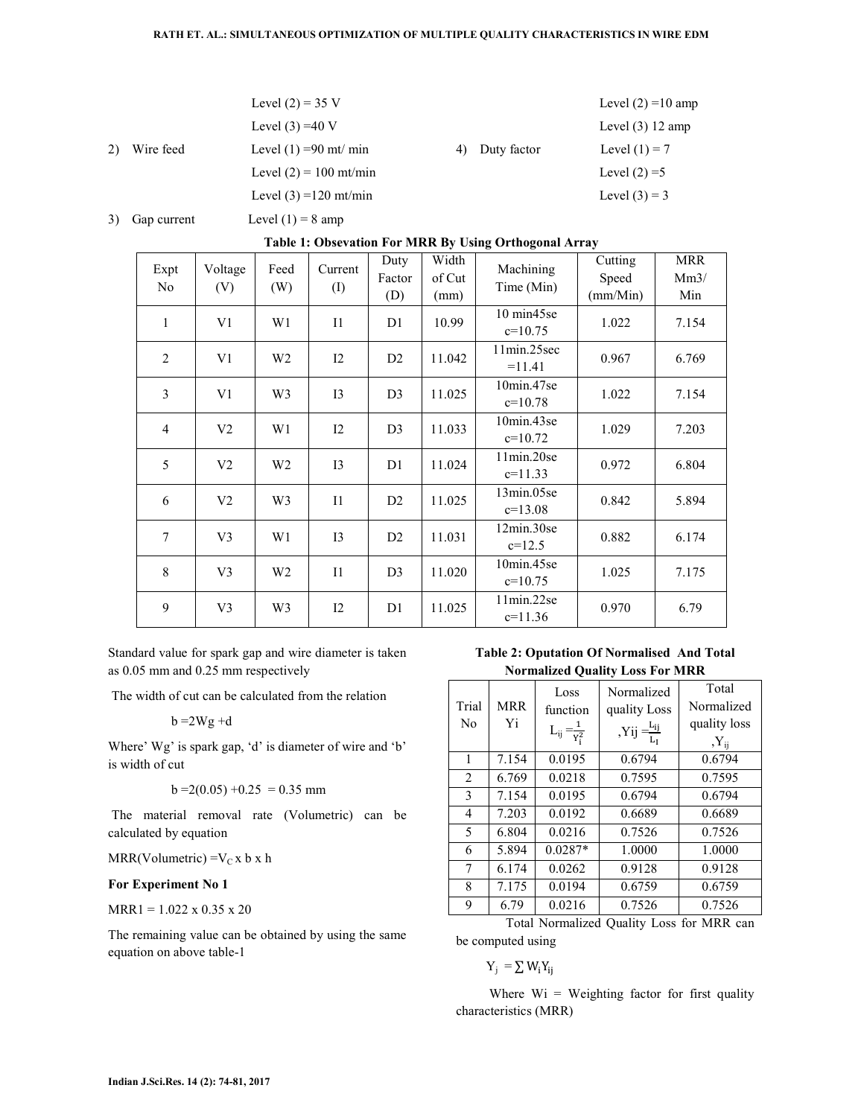#### **RATH ET. AL.: SIMULTANEOUS OPTIMIZATION OF MULTIPLE QUALITY CHARACTERISTICS IN WIRE EDM**

|    |           | Level $(2) = 35$ V       |    |             | Level $(2) = 10$ amp |
|----|-----------|--------------------------|----|-------------|----------------------|
|    |           | Level $(3) = 40$ V       |    |             | Level $(3)$ 12 amp   |
| 2) | Wire feed | Level $(1) = 90$ mt/ min | 4) | Duty factor | Level $(1) = 7$      |
|    |           | Level $(2) = 100$ mt/min |    |             | Level $(2) = 5$      |
|    |           | Level $(3) = 120$ mt/min |    |             | Level $(3) = 3$      |
|    |           |                          |    |             |                      |

3) Gap current Level  $(1) = 8$  amp

### **Table 1: Obsevation For MRR By Using Orthogonal Array**

| Expt<br>N <sub>0</sub> | Voltage<br>(V) | Feed<br>(W)    | Current<br>$\rm (I)$ | Duty<br>Factor<br>(D) | Width<br>of Cut<br>(mm) | Machining<br>Time (Min) | Cutting<br>Speed<br>(mm/Min) | <b>MRR</b><br>Mm3/<br>Min |
|------------------------|----------------|----------------|----------------------|-----------------------|-------------------------|-------------------------|------------------------------|---------------------------|
| 1                      | V <sub>1</sub> | W1             | $_{11}$              | D <sub>1</sub>        | 10.99                   | 10 min45se<br>$c=10.75$ | 1.022                        | 7.154                     |
| $\overline{2}$         | V <sub>1</sub> | W <sub>2</sub> | 12                   | D2                    | 11.042                  | 11min.25sec<br>$=11.41$ | 0.967                        | 6.769                     |
| 3                      | V1             | W <sub>3</sub> | 13                   | D <sub>3</sub>        | 11.025                  | 10min.47se<br>$c=10.78$ | 1.022                        | 7.154                     |
| $\overline{4}$         | V <sub>2</sub> | W <sub>1</sub> | 12                   | D <sub>3</sub>        | 11.033                  | 10min.43se<br>$c=10.72$ | 1.029                        | 7.203                     |
| 5                      | V <sub>2</sub> | W <sub>2</sub> | 13                   | D1                    | 11.024                  | 11min.20se<br>$c=11.33$ | 0.972                        | 6.804                     |
| 6                      | V <sub>2</sub> | W3             | $_{11}$              | D2                    | 11.025                  | 13min.05se<br>$c=13.08$ | 0.842                        | 5.894                     |
| $\tau$                 | V <sub>3</sub> | W <sub>1</sub> | 13                   | D2                    | 11.031                  | 12min.30se<br>$c=12.5$  | 0.882                        | 6.174                     |
| 8                      | V <sub>3</sub> | W <sub>2</sub> | $_{11}$              | D <sub>3</sub>        | 11.020                  | 10min.45se<br>$c=10.75$ | 1.025                        | 7.175                     |
| 9                      | V <sub>3</sub> | W <sub>3</sub> | 12                   | D1                    | 11.025                  | 11min.22se<br>$c=11.36$ | 0.970                        | 6.79                      |

Standard value for spark gap and wire diameter is taken as 0.05 mm and 0.25 mm respectively

The width of cut can be calculated from the relation

$$
b = 2Wg + d
$$

Where' Wg' is spark gap, 'd' is diameter of wire and 'b' is width of cut

$$
b = 2(0.05) + 0.25 = 0.35
$$
mm

 The material removal rate (Volumetric) can be calculated by equation

MRR(Volumetric) = $V_C x b x h$ 

### **For Experiment No 1**

 $MRR1 = 1.022$  x 0.35 x 20

The remaining value can be obtained by using the same equation on above table-1

**Table 2: Oputation Of Normalised And Total Normalized Quality Loss For MRR** 

| Trial<br>No | <b>MRR</b><br>Yi | Loss<br>function<br>$L_{ij} = \frac{1}{Y_i^2}$ | Normalized<br>quality Loss<br>, Yij $\frac{\text{L}_{ij}}{\text{L}_I}$ | Total<br>Normalized<br>quality loss<br>$Y_{ij}$ |
|-------------|------------------|------------------------------------------------|------------------------------------------------------------------------|-------------------------------------------------|
| 1           | 7.154            | 0.0195                                         | 0.6794                                                                 | 0.6794                                          |
| 2           | 6.769            | 0.0218                                         | 0.7595                                                                 | 0.7595                                          |
| 3           | 7.154            | 0.0195                                         | 0.6794                                                                 | 0.6794                                          |
| 4           | 7.203            | 0.0192                                         | 0.6689                                                                 | 0.6689                                          |
| 5           | 6.804            | 0.0216                                         | 0.7526                                                                 | 0.7526                                          |
| 6           | 5.894            | $0.0287*$                                      | 1.0000                                                                 | 1.0000                                          |
| 7           | 6.174            | 0.0262                                         | 0.9128                                                                 | 0.9128                                          |
| 8           | 7.175            | 0.0194                                         | 0.6759                                                                 | 0.6759                                          |
| 9           | 6.79             | 0.0216                                         | 0.7526                                                                 | 0.7526                                          |

 Total Normalized Quality Loss for MRR can be computed using

 $Y_j = \sum W_i Y_{ij}$ 

Where  $Wi = Weighting factor for first quality$ characteristics (MRR)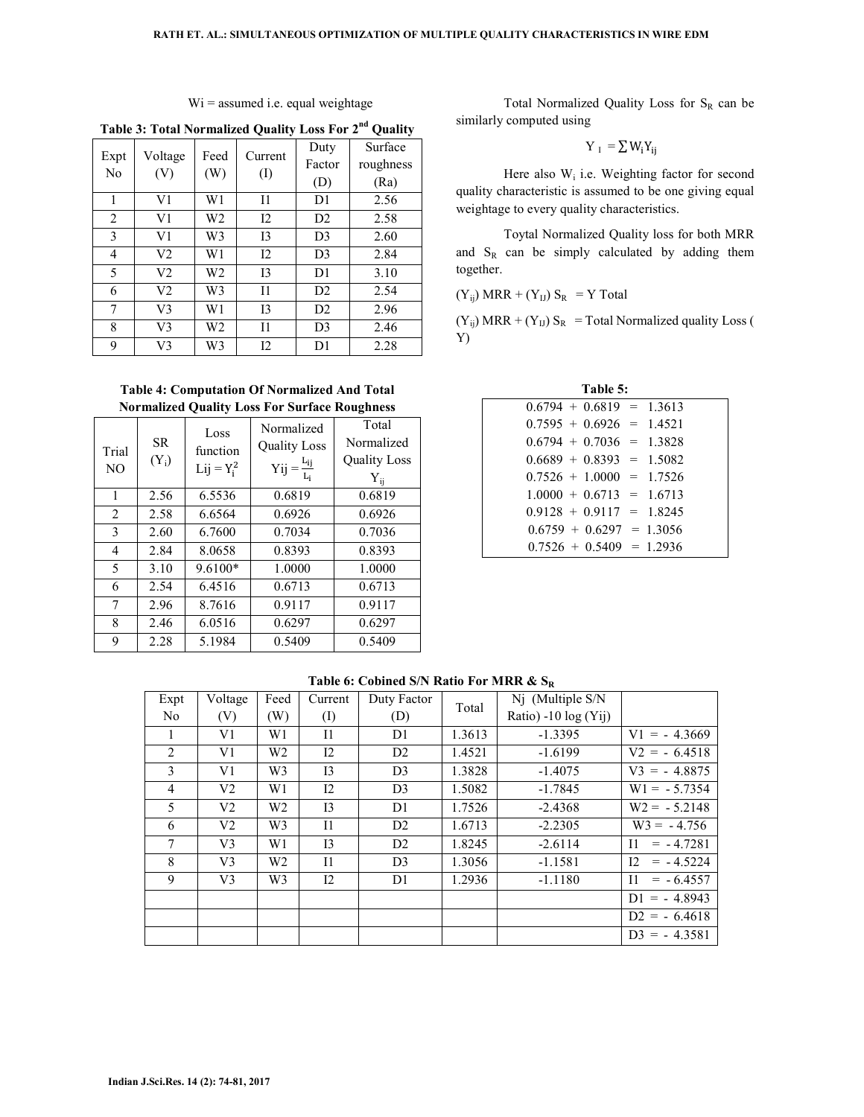| Expt           | Voltage        | Feed | Current | Duty<br>Factor | Surface<br>roughness |
|----------------|----------------|------|---------|----------------|----------------------|
| No             | (V)            | (W)  | (I)     | (D)            | (Ra)                 |
| 1              | V1             | W1   | Ī1      | D1             | 2.56                 |
| $\overline{2}$ | V1             | W2   | 12      | D2             | 2.58                 |
| 3              | V1             | W3   | I3      | D <sub>3</sub> | 2.60                 |
| 4              | V <sub>2</sub> | W1   | 12      | D <sub>3</sub> | 2.84                 |
| 5              | V <sub>2</sub> | W2   | I3      | D <sub>1</sub> | 3.10                 |
| 6              | V <sub>2</sub> | W3   | $_{11}$ | D2             | 2.54                 |
| 7              | V3             | W1   | 13      | D2             | 2.96                 |
| 8              | V3             | W2   | Ī1      | D <sub>3</sub> | 2.46                 |
| 9              | V3             | W3   | 12      | D1             | 2.28                 |

Wi = assumed i.e. equal weightage

**Table 3: Total Normalized Quality Loss For 2nd Quality** 

**Table 4: Computation Of Normalized And Total Normalized Quality Loss For Surface Roughness** 

| Trial<br>N <sub>O</sub> | <b>SR</b><br>$(Y_i)$ | Loss<br>function<br>$Lij = Y_i^2$ | Normalized<br><b>Quality Loss</b><br>$Yij = \frac{L_{ij}}{L_i}$ | Total<br>Normalized<br><b>Quality Loss</b><br>$Y_{ij}$ |
|-------------------------|----------------------|-----------------------------------|-----------------------------------------------------------------|--------------------------------------------------------|
| 1                       | 2.56                 | 6.5536                            | 0.6819                                                          | 0.6819                                                 |
| 2                       | 2.58                 | 6.6564                            | 0.6926                                                          | 0.6926                                                 |
| 3                       | 2.60                 | 6.7600                            | 0.7034                                                          | 0.7036                                                 |
| 4                       | 2.84                 | 8.0658                            | 0.8393                                                          | 0.8393                                                 |
| 5                       | 3.10                 | $9.6100*$                         | 1.0000                                                          | 1.0000                                                 |
| 6                       | 2.54                 | 6.4516                            | 0.6713                                                          | 0.6713                                                 |
| 7                       | 2.96                 | 8.7616                            | 0.9117                                                          | 0.9117                                                 |
| 8                       | 2.46                 | 6.0516                            | 0.6297                                                          | 0.6297                                                 |
| 9                       | 2.28                 | 5.1984                            | 0.5409                                                          | 0.5409                                                 |

Total Normalized Quality Loss for  $S_R$  can be similarly computed using

$$
Y_{I} = \sum W_{i} Y_{ij}
$$

Here also  $W_i$  i.e. Weighting factor for second quality characteristic is assumed to be one giving equal weightage to every quality characteristics.

Toytal Normalized Quality loss for both MRR and  $S_R$  can be simply calculated by adding them together.

 $(Y_{ij})$  MRR +  $(Y_{IJ})$   $S_R$  = Y Total

 $(Y_{ij})$  MRR +  $(Y_{IJ})$  S<sub>R</sub> = Total Normalized quality Loss ( Y)

| Table 5:                   |  |  |  |  |  |  |  |  |  |  |  |
|----------------------------|--|--|--|--|--|--|--|--|--|--|--|
| $0.6794 + 0.6819 = 1.3613$ |  |  |  |  |  |  |  |  |  |  |  |
| $0.7595 + 0.6926 = 1.4521$ |  |  |  |  |  |  |  |  |  |  |  |
| $0.6794 + 0.7036 = 1.3828$ |  |  |  |  |  |  |  |  |  |  |  |
| $0.6689 + 0.8393 = 1.5082$ |  |  |  |  |  |  |  |  |  |  |  |
| $0.7526 + 1.0000 = 1.7526$ |  |  |  |  |  |  |  |  |  |  |  |
| $1.0000 + 0.6713 = 1.6713$ |  |  |  |  |  |  |  |  |  |  |  |
| $0.9128 + 0.9117 = 1.8245$ |  |  |  |  |  |  |  |  |  |  |  |
| $0.6759 + 0.6297 = 1.3056$ |  |  |  |  |  |  |  |  |  |  |  |
| $0.7526 + 0.5409 = 1.2936$ |  |  |  |  |  |  |  |  |  |  |  |

**Table 6: Cobined S/N Ratio For MRR & S<sup>R</sup>**

| Expt           | Voltage | Feed           | Current     | Duty Factor    | Total  | Nj (Multiple S/N     |                             |
|----------------|---------|----------------|-------------|----------------|--------|----------------------|-----------------------------|
| No             | (V)     | (W)            | $\rm (I)$   | (D)            |        | Ratio) -10 log (Yij) |                             |
|                | V1      | W1             | $_{\rm II}$ | D1             | 1.3613 | $-1.3395$            | $V1 = -4.3669$              |
| $\overline{2}$ | V1      | W <sub>2</sub> | 12          | D2             | 1.4521 | $-1.6199$            | $V2 = -6.4518$              |
| $\mathcal{E}$  | V1      | W <sub>3</sub> | 13          | D <sub>3</sub> | 1.3828 | $-1.4075$            | $V3 = -4.8875$              |
| $\overline{4}$ | V2      | W1             | 12          | D <sub>3</sub> | 1.5082 | $-1.7845$            | $W1 = -5.7354$              |
| 5              | V2      | W2             | 13          | D1             | 1.7526 | $-2.4368$            | $W2 = -5.2148$              |
| 6              | V2      | W <sub>3</sub> | $_{\rm II}$ | D2             | 1.6713 | $-2.2305$            | $W3 = -4.756$               |
| 7              | V3      | W1             | 13          | D2             | 1.8245 | $-2.6114$            | $= -4.7281$<br>$\mathbf{I}$ |
| 8              | V3      | W <sub>2</sub> | $_{\rm II}$ | D <sub>3</sub> | 1.3056 | $-1.1581$            | 12<br>$= -4.5224$           |
| 9              | V3      | W <sub>3</sub> | 12          | D <sub>1</sub> | 1.2936 | $-1.1180$            | $\mathbf{I}$<br>$= -6.4557$ |
|                |         |                |             |                |        |                      | $DI = -4.8943$              |
|                |         |                |             |                |        |                      | $D2 = -6.4618$              |
|                |         |                |             |                |        |                      | $D3 = -4.3581$              |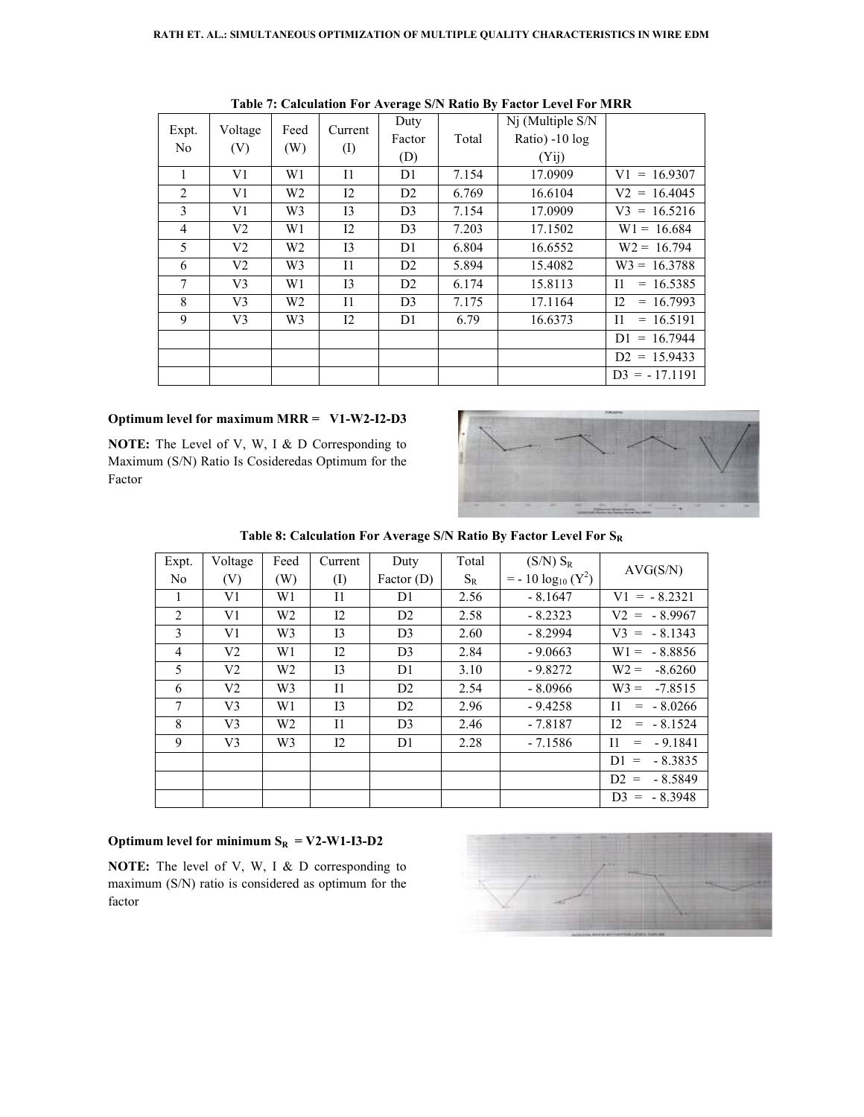| Expt.<br>N <sub>0</sub> | Voltage<br>(V) | Feed<br>(W)    | Current<br>$\rm(D)$ | Duty<br>Factor<br>(D) | Total | Nj (Multiple S/N<br>Ratio) -10 log<br>(Yii) |                             |
|-------------------------|----------------|----------------|---------------------|-----------------------|-------|---------------------------------------------|-----------------------------|
| 1                       | V1             | W1             | 11                  | D1                    | 7.154 | 17.0909                                     | $V1 = 16.9307$              |
| 2                       | V1             | W <sub>2</sub> | 12                  | D2                    | 6.769 | 16.6104                                     | $V2 = 16.4045$              |
| 3                       | V1             | W <sub>3</sub> | 13                  | D <sub>3</sub>        | 7.154 | 17.0909                                     | $V3 = 16.5216$              |
| $\overline{4}$          | V <sub>2</sub> | W1             | $12 \,$             | D <sub>3</sub>        | 7.203 | 17.1502                                     | $W1 = 16.684$               |
| 5                       | V <sub>2</sub> | W <sub>2</sub> | I3                  | D1                    | 6.804 | 16.6552                                     | $W2 = 16.794$               |
| 6                       | V <sub>2</sub> | W <sub>3</sub> | $_{\rm II}$         | D2                    | 5.894 | 15.4082                                     | $W3 = 16.3788$              |
| 7                       | V3             | W1             | I3                  | D2                    | 6.174 | 15.8113                                     | $\mathbf{I}$<br>$= 16.5385$ |
| 8                       | V <sub>3</sub> | W <sub>2</sub> | $_{\rm II}$         | D <sub>3</sub>        | 7.175 | 17.1164                                     | 12<br>$= 16.7993$           |
| 9                       | V3             | W <sub>3</sub> | $12 \,$             | D <sub>1</sub>        | 6.79  | 16.6373                                     | $_{11}$<br>$= 16.5191$      |
|                         |                |                |                     |                       |       |                                             | $= 16.7944$<br>D1.          |
|                         |                |                |                     |                       |       |                                             | $D2 = 15.9433$              |
|                         |                |                |                     |                       |       |                                             | $D3 = -17.1191$             |

**Table 7: Calculation For Average Average S/N Ratio By Factor Level For MRR** 

### **Optimum level for maximum MRR = V1 V1-W2-I2-D3**

**NOTE:** The Level of V, W, I & D Corresponding to Maximum (S/N) Ratio Is Cosideredas Optimum for the Factor



**Table 8: Calculation For 8: For Average S/N Ratio By Factor Level For S<sup>R</sup>**

| Expt.          | Voltage        | Feed           | Current   | Duty           | Total | $(S/N)$ $S_R$                                | AVG(S/N)                                       |
|----------------|----------------|----------------|-----------|----------------|-------|----------------------------------------------|------------------------------------------------|
| N <sub>0</sub> | (V)            | (W)            | $\rm (I)$ | Factor $(D)$   | $S_R$ | $=$ - 10 log <sub>10</sub> (Y <sup>2</sup> ) |                                                |
| $\mathbf{I}$   | V1             | W <sub>1</sub> | 11        | D1             | 2.56  | $-8.1647$                                    | $V1 = -8.2321$                                 |
| 2              | V1             | W <sub>2</sub> | $12 \,$   | D <sub>2</sub> | 2.58  | $-8.2323$                                    | $V2 = -8.9967$                                 |
| 3              | V1             | W <sub>3</sub> | I3        | D <sub>3</sub> | 2.60  | $-8.2994$                                    | $V3 = -8.1343$                                 |
| $\overline{4}$ | V <sub>2</sub> | W <sub>1</sub> | $12 \,$   | D <sub>3</sub> | 2.84  | $-9.0663$                                    | $W1 = -8.8856$                                 |
| 5              | V <sub>2</sub> | W <sub>2</sub> | 13        | D1             | 3.10  | $-9.8272$                                    | $W2 =$<br>$-8.6260$                            |
| 6              | V <sub>2</sub> | W <sub>3</sub> | $_{11}$   | D2             | 2.54  | $-8.0966$                                    | $W3 =$<br>$-7.8515$                            |
| $\tau$         | V <sub>3</sub> | W <sub>1</sub> | 13        | D2             | 2.96  | $-9.4258$                                    | $=$ $-8.0266$<br>H.                            |
| 8              | V <sub>3</sub> | W <sub>2</sub> | $_{11}$   | D <sub>3</sub> | 2.46  | $-7.8187$                                    | 12<br>$=$ $-8.1524$                            |
| 9              | V <sub>3</sub> | W <sub>3</sub> | $12 \,$   | D1             | 2.28  | $-7.1586$                                    | $-9.1841$<br>$\mathbf{I}$<br>$\qquad \qquad =$ |
|                |                |                |           |                |       |                                              | $-8.3835$<br>$D1 =$                            |
|                |                |                |           |                |       |                                              | $D2 =$<br>- 8.5849                             |
|                |                |                |           |                |       |                                              | $D3 = -8.3948$                                 |

### **Optimum level for minimum**  $S_R = V2-W1-I3-D2$

**NOTE:** The level of V, W, I & D corresponding to maximum (S/N) ratio is considered as optimum for the factor

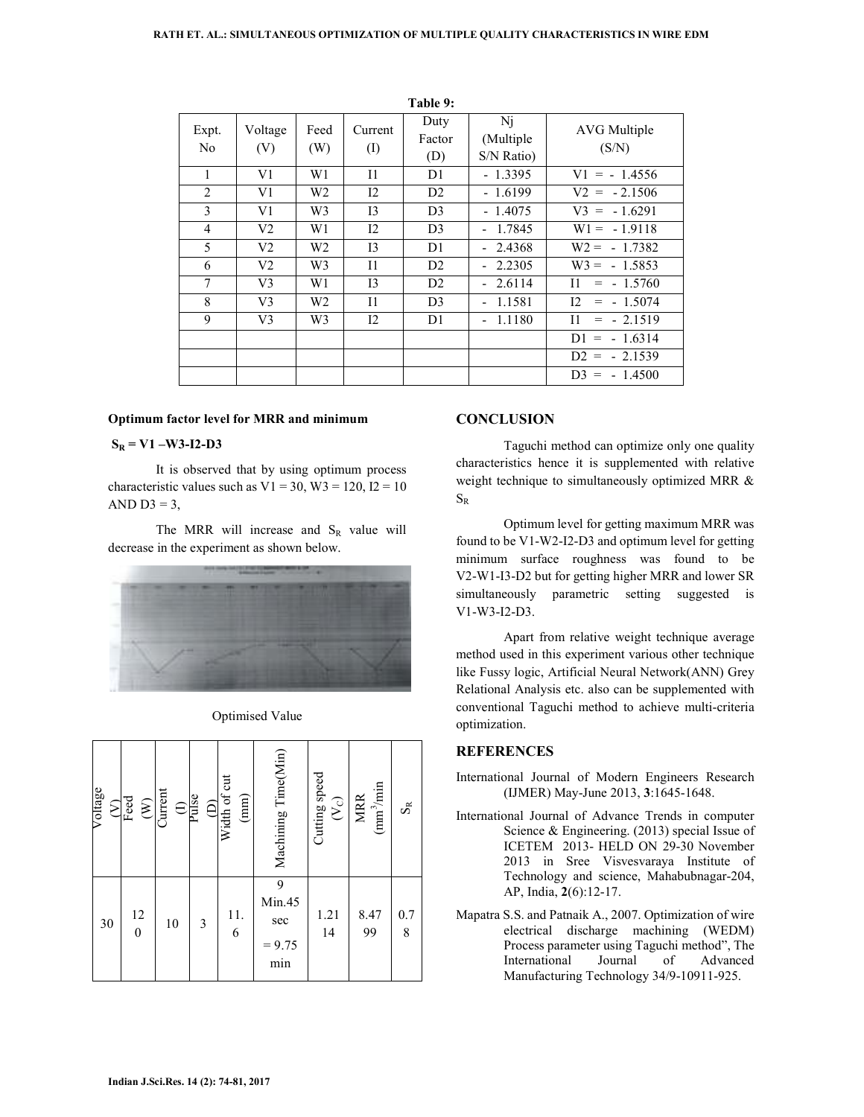|                         |                |             |                      | Table 9:              |                               |                                 |
|-------------------------|----------------|-------------|----------------------|-----------------------|-------------------------------|---------------------------------|
| Expt.<br>N <sub>0</sub> | Voltage<br>(V) | Feed<br>(W) | Current<br>$\rm (I)$ | Duty<br>Factor<br>(D) | Nj<br>(Multiple<br>S/N Ratio) | AVG Multiple<br>(S/N)           |
| 1                       | V1             | W1          | 11                   | D <sub>1</sub>        | $-1.3395$                     | $V1 = -1.4556$                  |
| $\overline{2}$          | V1             | W2          | 12                   | D <sub>2</sub>        | $-1.6199$                     | $V2 = -2.1506$                  |
| 3                       | V1             | W3          | I3                   | D <sub>3</sub>        | $-1.4075$                     | $V3 = -1.6291$                  |
| $\overline{4}$          | V2             | W1          | 12                   | D <sub>3</sub>        | $-1.7845$                     | $W1 = -1.9118$                  |
| 5                       | V2             | W2          | 13                   | D <sub>1</sub>        | 2.4368                        | $W2 = -1.7382$                  |
| 6                       | V2             | W3          | 11                   | D <sub>2</sub>        | 2.2305                        | $W3 = -1.5853$                  |
| $\overline{7}$          | V <sub>3</sub> | W1          | I3                   | D2                    | 2.6114<br>$\blacksquare$      | $\overline{11}$<br>$=$ - 1.5760 |
| 8                       | V3             | W2          | $\mathbf{I}$         | D <sub>3</sub>        | 1.1581                        | 12<br>$=$ - 1.5074              |
| 9                       | V3             | W3          | $12 \,$              | D1                    | 1.1180                        | $= -2.1519$<br>$_{\rm II}$      |
|                         |                |             |                      |                       |                               | $DI = -1.6314$                  |
|                         |                |             |                      |                       |                               | $D2 = -2.1539$                  |
|                         |                |             |                      |                       |                               | $D3 = -1.4500$                  |

#### **Optimum factor level for MRR and minimum**

#### $S_R = V1 - W3 - I2 - D3$

It is observed that by using optimum process characteristic values such as  $V1 = 30$ ,  $W3 = 120$ ,  $I2 = 10$ AND  $D3 = 3$ ,

The MRR will increase and  $S_R$  value will decrease in the experiment as shown below.



| Voltage | $S_{\text{red}}$<br>$\widehat{\epsilon}$ | Current<br>$\frac{1}{\text{Pulse}}$ |   | $(D)$<br>Width of cut<br>(mm) | Machining Time(Min)                   | Cutting speed<br>$ S\rangle$ | $\text{mm}^3/\text{min}$<br>$\overline{\text{MRR}}$ | SÃ       |
|---------|------------------------------------------|-------------------------------------|---|-------------------------------|---------------------------------------|------------------------------|-----------------------------------------------------|----------|
| 30      | $\begin{array}{c} 12 \\ 0 \end{array}$   | 10                                  | 3 | 11.<br>6                      | 9<br>Min.45<br>sec<br>$= 9.75$<br>min | 1.21<br>14                   | 8.47<br>99                                          | 0.7<br>8 |

#### Optimised Value

# **CONCLUSION**

Taguchi method can optimize only one quality characteristics hence it is supplemented with relative weight technique to simultaneously optimized MRR &  $S_{R}$ 

Optimum level for getting maximum MRR was found to be V1-W2-I2-D3 and optimum level for getting minimum surface roughness was found to be V2-W1-I3-D2 but for getting higher MRR and lower SR simultaneously parametric setting suggested is V1-W3-I2-D3.

Apart from relative weight technique average method used in this experiment various other technique like Fussy logic, Artificial Neural Network(ANN) Grey Relational Analysis etc. also can be supplemented with conventional Taguchi method to achieve multi-criteria optimization.

### **REFERENCES**

- International Journal of Modern Engineers Research (IJMER) May-June 2013, **3**:1645-1648.
- International Journal of Advance Trends in computer Science & Engineering. (2013) special Issue of ICETEM 2013- HELD ON 29-30 November 2013 in Sree Visvesvaraya Institute of Technology and science, Mahabubnagar-204, AP, India, **2**(6):12-17.
- Mapatra S.S. and Patnaik A., 2007. Optimization of wire electrical discharge machining (WEDM) Process parameter using Taguchi method", The<br>International Journal of Advanced **International** Manufacturing Technology 34/9-10911-925.